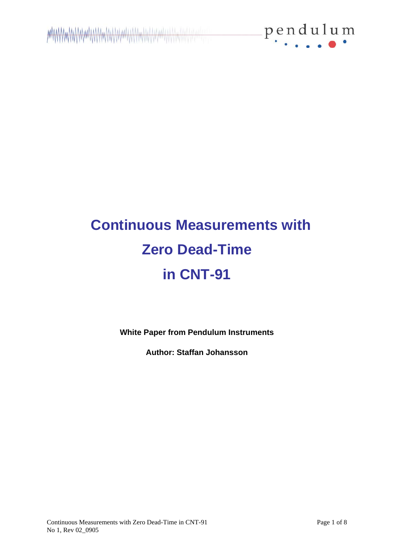

# **Continuous Measurements with Zero Dead-Time in CNT-91**

**White Paper from Pendulum Instruments**

**Author: Staffan Johansson**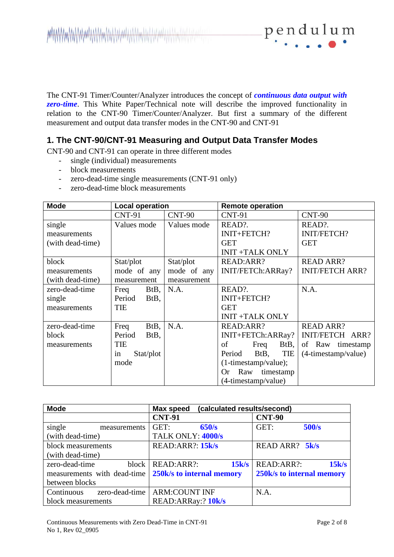

The CNT-91 Timer/Counter/Analyzer introduces the concept of *continuous data output with*  zero-time. This White Paper/Technical note will describe the improved functionality in relation to the CNT-90 Timer/Counter/Analyzer. But first a summary of the different measurement and output data transfer modes in the CNT-90 and CNT-91

## **1. The CNT-90/CNT-91 Measuring and Output Data Transfer Modes**

CNT-90 and CNT-91 can operate in three different modes

- single (individual) measurements
- block measurements
- zero-dead-time single measurements (CNT-91 only)
- zero-dead-time block measurements

| <b>Mode</b>      | <b>Local operation</b> |             | <b>Remote operation</b>       |                           |
|------------------|------------------------|-------------|-------------------------------|---------------------------|
|                  | <b>CNT-91</b>          | $CNT-90$    | <b>CNT-91</b>                 | <b>CNT-90</b>             |
| single           | Values mode            | Values mode | READ?.                        | READ?.                    |
| measurements     |                        |             | INIT+FETCH?                   | <b>INIT/FETCH?</b>        |
| (with dead-time) |                        |             | <b>GET</b>                    | <b>GET</b>                |
|                  |                        |             | <b>INIT +TALK ONLY</b>        |                           |
| block            | Stat/plot              | Stat/plot   | READ:ARR?                     | <b>READ ARR?</b>          |
| measurements     | mode of any            | mode of any | INIT/FETCh:ARRay?             | <b>INIT/FETCH ARR?</b>    |
| (with dead-time) | measurement            | measurement |                               |                           |
| zero-dead-time   | BtB,<br>Freq           | N.A.        | READ?.                        | N.A.                      |
| single           | Period<br>BtB,         |             | INIT+FETCH?                   |                           |
| measurements     | TIE                    |             | <b>GET</b>                    |                           |
|                  |                        |             | <b>INIT +TALK ONLY</b>        |                           |
| zero-dead-time   | BtB,<br>Freq           | N.A.        | READ:ARR?                     | <b>READ ARR?</b>          |
| block            | Period<br>BtB,         |             | INIT+FETCh:ARRay?             | INIT/FETCH ARR?           |
| measurements     | <b>TIE</b>             |             | of<br>BtB,<br>Freq            | of Raw timestamp          |
|                  | Stat/plot<br>in        |             | TIE<br>Period<br>BtB,         | $(4\t{-}timestamp/value)$ |
|                  | mode                   |             | $(1-time stamp/value);$       |                           |
|                  |                        |             | timestamp<br>Raw<br><b>Or</b> |                           |
|                  |                        |             | (4-timestamp/value)           |                           |

| <b>Mode</b>                  | (calculated results/second)<br><b>Max speed</b> |                           |  |
|------------------------------|-------------------------------------------------|---------------------------|--|
|                              | <b>CNT-91</b>                                   | <b>CNT-90</b>             |  |
| single<br>measurements       | GET:<br>650/s                                   | GET:<br>500/s             |  |
| (with dead-time)             | TALK ONLY: 4000/s                               |                           |  |
| block measurements           | READ:ARR?: 15k/s                                | READ ARR? 5k/s            |  |
| (with dead-time)             |                                                 |                           |  |
| zero-dead-time<br>block      | READ:ARR?:<br>15k/s                             | READ:ARR?:<br>15k/s       |  |
| measurements with dead-time  | 250k/s to internal memory                       | 250k/s to internal memory |  |
| between blocks               |                                                 |                           |  |
| zero-dead-time<br>Continuous | <b>ARM:COUNT INF</b>                            | N.A.                      |  |
| block measurements           | READ: ARRay: ? 10k/s                            |                           |  |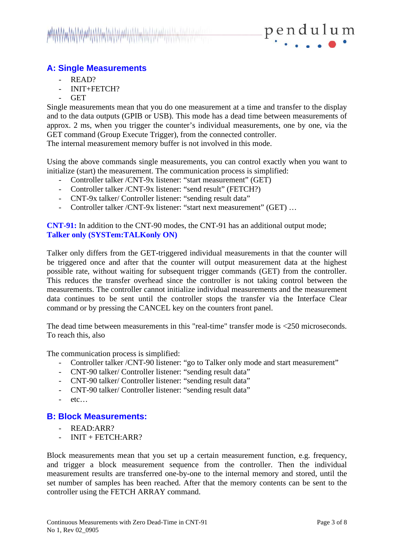

## **A: Single Measurements**

- READ?
- INIT+FETCH?
- GET

Single measurements mean that you do one measurement at a time and transfer to the display and to the data outputs (GPIB or USB). This mode has a dead time between measurements of approx. 2 ms, when you trigger the counter's individual measurements, one by one, via the GET command (Group Execute Trigger), from the connected controller.

The internal measurement memory buffer is not involved in this mode.

Using the above commands single measurements, you can control exactly when you want to initialize (start) the measurement. The communication process is simplified:

- Controller talker /CNT-9x listener: "start measurement" (GET)
- Controller talker /CNT-9x listener: "send result" (FETCH?)
- CNT-9x talker/ Controller listener: "sending result data"
- Controller talker /CNT-9x listener: "start next measurement" (GET) …

**CNT-91:** In addition to the CNT-90 modes, the CNT-91 has an additional output mode; **Talker only (SYSTem:TALKonly ON)**

Talker only differs from the GET-triggered individual measurements in that the counter will be triggered once and after that the counter will output measurement data at the highest possible rate, without waiting for subsequent trigger commands (GET) from the controller. This reduces the transfer overhead since the controller is not taking control between the measurements. The controller cannot initialize individual measurements and the measurement data continues to be sent until the controller stops the transfer via the Interface Clear command or by pressing the CANCEL key on the counters front panel.

The dead time between measurements in this "real-time" transfer mode is <250 microseconds. To reach this, also

The communication process is simplified:

- Controller talker /CNT-90 listener: "go to Talker only mode and start measurement"
- CNT-90 talker/ Controller listener: "sending result data"
- CNT-90 talker/ Controller listener: "sending result data"
- CNT-90 talker/ Controller listener: "sending result data"
- $-$  etc…

## **B: Block Measurements:**

- READ:ARR?
- $INT + FETCH:ARR?$

Block measurements mean that you set up a certain measurement function, e.g. frequency, and trigger a block measurement sequence from the controller. Then the individual measurement results are transferred one-by-one to the internal memory and stored, until the set number of samples has been reached. After that the memory contents can be sent to the controller using the FETCH ARRAY command.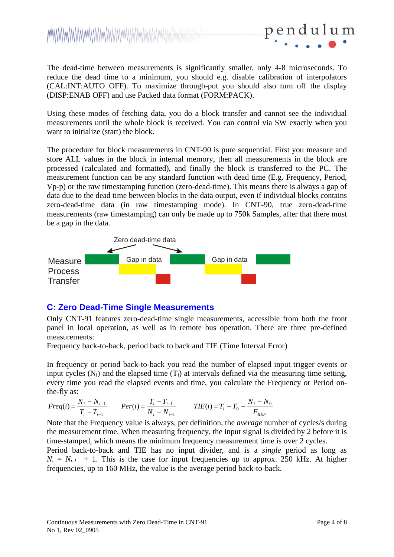The dead-time between measurements is significantly smaller, only 4-8 microseconds. To reduce the dead time to a minimum, you should e.g. disable calibration of interpolators (CAL:INT:AUTO OFF). To maximize through-put you should also turn off the display (DISP:ENAB OFF) and use Packed data format (FORM:PACK).

pendul

Using these modes of fetching data, you do a block transfer and cannot see the individual measurements until the whole block is received. You can control via SW exactly when you want to initialize (start) the block.

The procedure for block measurements in CNT-90 is pure sequential. First you measure and store ALL values in the block in internal memory, then all measurements in the block are processed (calculated and formatted), and finally the block is transferred to the PC. The measurement function can be any standard function with dead time (E.g. Frequency, Period, Vp-p) or the raw timestamping function (zero-dead-time). This means there is always a gap of data due to the dead time between blocks in the data output, even if individual blocks contains zero-dead-time data (in raw timestamping mode). In CNT-90, true zero-dead-time measurements (raw timestamping) can only be made up to 750k Samples, after that there must be a gap in the data.



## **C: Zero Dead-Time Single Measurements**

Only CNT-91 features zero-dead-time single measurements, accessible from both the front panel in local operation, as well as in remote bus operation. There are three pre-defined measurements:

Frequency back-to-back, period back to back and TIE (Time Interval Error)

In frequency or period back-to-back you read the number of elapsed input trigger events or input cycles  $(N_i)$  and the elapsed time  $(T_i)$  at intervals defined via the measuring time setting, every time you read the elapsed events and time, you calculate the Frequency or Period onthe-fly as:

$$
Freq(i) = \frac{N_i - N_{i-1}}{T_i - T_{i-1}} \qquad Per(i) = \frac{T_i - T_{i-1}}{N_i - N_{i-1}} \qquad TIE(i) = T_i - T_0 - \frac{N_i - N_0}{F_{REF}}
$$

Note that the Frequency value is always, per definition, the *average* number of cycles/s during the measurement time. When measuring frequency, the input signal is divided by 2 before it is time-stamped, which means the minimum frequency measurement time is over 2 cycles.

Period back-to-back and TIE has no input divider, and is a *single* period as long as  $N_i = N_{i-1}$  + 1. This is the case for input frequencies up to approx. 250 kHz. At higher frequencies, up to 160 MHz, the value is the average period back-to-back.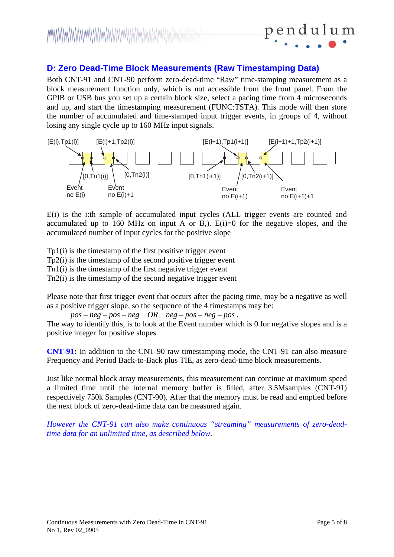## **D: Zero Dead-Time Block Measurements (Raw Timestamping Data)**

Both CNT-91 and CNT-90 perform zero-dead-time "Raw" time-stamping measurement as a block measurement function only, which is not accessible from the front panel. From the GPIB or USB bus you set up a certain block size, select a pacing time from 4 microseconds and up, and start the timestamping measurement (FUNC:TSTA). This mode will then store the number of accumulated and time-stamped input trigger events, in groups of 4, without losing any single cycle up to 160 MHz input signals.



E(i) is the i:th sample of accumulated input cycles (ALL trigger events are counted and accumulated up to 160 MHz on input A or B,).  $E(i)=0$  for the negative slopes, and the accumulated number of input cycles for the positive slope

Tp1(i) is the timestamp of the first positive trigger event Tp2(i) is the timestamp of the second positive trigger event Tn1(i) is the timestamp of the first negative trigger event Tn2(i) is the timestamp of the second negative trigger event

Please note that first trigger event that occurs after the pacing time, may be a negative as well as a positive trigger slope, so the sequence of the 4 timestamps may be:

*pos – neg – pos – neg OR neg – pos – neg – pos .*  The way to identify this, is to look at the Event number which is 0 for negative slopes and is a positive integer for positive slopes

**CNT-91:** In addition to the CNT-90 raw timestamping mode, the CNT-91 can also measure Frequency and Period Back-to-Back plus TIE, as zero-dead-time block measurements.

Just like normal block array measurements, this measurement can continue at maximum speed a limited time until the internal memory buffer is filled, after 3.5Msamples (CNT-91) respectively 750k Samples (CNT-90). After that the memory must be read and emptied before the next block of zero-dead-time data can be measured again.

*However the CNT-91 can also make continuous "streaming" measurements of zero-deadtime data for an unlimited time, as described below*.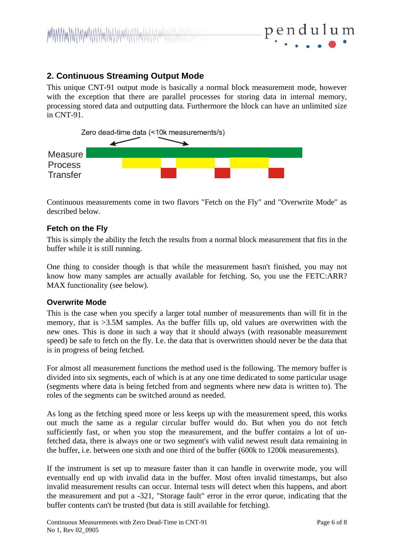

## **2. Continuous Streaming Output Mode**

This unique CNT-91 output mode is basically a normal block measurement mode, however with the exception that there are parallel processes for storing data in internal memory, processing stored data and outputting data. Furthermore the block can have an unlimited size in CNT-91.



Continuous measurements come in two flavors "Fetch on the Fly" and "Overwrite Mode" as described below.

## **Fetch on the Fly**

This is simply the ability the fetch the results from a normal block measurement that fits in the buffer while it is still running.

One thing to consider though is that while the measurement hasn't finished, you may not know how many samples are actually available for fetching. So, you use the FETC:ARR? MAX functionality (see below).

## **Overwrite Mode**

This is the case when you specify a larger total number of measurements than will fit in the memory, that is >3.5M samples. As the buffer fills up, old values are overwritten with the new ones. This is done in such a way that it should always (with reasonable measurement speed) be safe to fetch on the fly. I.e. the data that is overwritten should never be the data that is in progress of being fetched.

For almost all measurement functions the method used is the following. The memory buffer is divided into six segments, each of which is at any one time dedicated to some particular usage (segments where data is being fetched from and segments where new data is written to). The roles of the segments can be switched around as needed.

As long as the fetching speed more or less keeps up with the measurement speed, this works out much the same as a regular circular buffer would do. But when you do not fetch sufficiently fast, or when you stop the measurement, and the buffer contains a lot of unfetched data, there is always one or two segment's with valid newest result data remaining in the buffer, i.e. between one sixth and one third of the buffer (600k to 1200k measurements).

If the instrument is set up to measure faster than it can handle in overwrite mode, you will eventually end up with invalid data in the buffer. Most often invalid timestamps, but also invalid measurement results can occur. Internal tests will detect when this happens, and abort the measurement and put a -321, "Storage fault" error in the error queue, indicating that the buffer contents can't be trusted (but data is still available for fetching).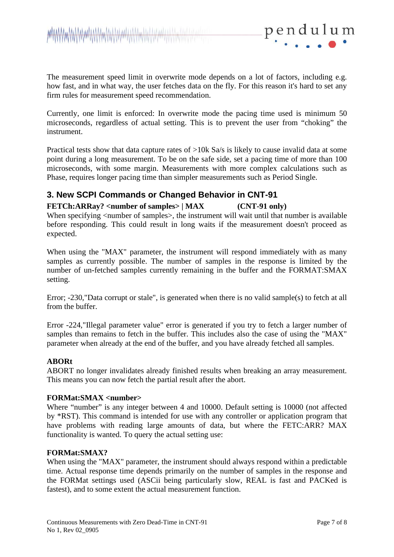

The measurement speed limit in overwrite mode depends on a lot of factors, including e.g. how fast, and in what way, the user fetches data on the fly. For this reason it's hard to set any firm rules for measurement speed recommendation.

Currently, one limit is enforced: In overwrite mode the pacing time used is minimum 50 microseconds, regardless of actual setting. This is to prevent the user from "choking" the instrument.

Practical tests show that data capture rates of >10k Sa/s is likely to cause invalid data at some point during a long measurement. To be on the safe side, set a pacing time of more than 100 microseconds, with some margin. Measurements with more complex calculations such as Phase, requires longer pacing time than simpler measurements such as Period Single.

## **3. New SCPI Commands or Changed Behavior in CNT-91**

## **FETCh:ARRay? <number of samples> | MAX (CNT-91 only)**

When specifying <number of samples>, the instrument will wait until that number is available before responding. This could result in long waits if the measurement doesn't proceed as expected.

When using the "MAX" parameter, the instrument will respond immediately with as many samples as currently possible. The number of samples in the response is limited by the number of un-fetched samples currently remaining in the buffer and the FORMAT:SMAX setting.

Error; -230,"Data corrupt or stale", is generated when there is no valid sample(s) to fetch at all from the buffer.

Error -224,"Illegal parameter value" error is generated if you try to fetch a larger number of samples than remains to fetch in the buffer. This includes also the case of using the "MAX" parameter when already at the end of the buffer, and you have already fetched all samples.

#### **ABORt**

ABORT no longer invalidates already finished results when breaking an array measurement. This means you can now fetch the partial result after the abort.

#### **FORMat:SMAX <number>**

Where "number" is any integer between 4 and 10000. Default setting is 10000 (not affected by \*RST). This command is intended for use with any controller or application program that have problems with reading large amounts of data, but where the FETC:ARR? MAX functionality is wanted. To query the actual setting use:

#### **FORMat:SMAX?**

When using the "MAX" parameter, the instrument should always respond within a predictable time. Actual response time depends primarily on the number of samples in the response and the FORMat settings used (ASCii being particularly slow, REAL is fast and PACKed is fastest), and to some extent the actual measurement function.